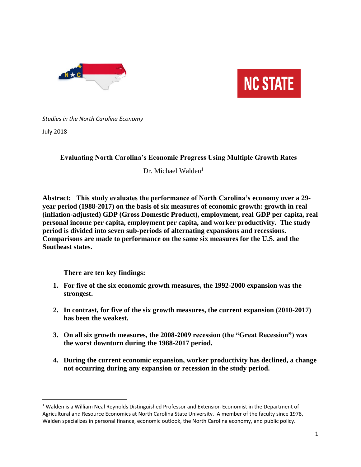



*Studies in the North Carolina Economy* 

July 2018

 $\overline{\phantom{a}}$ 

# **Evaluating North Carolina's Economic Progress Using Multiple Growth Rates**

Dr. Michael Walden<sup>1</sup>

**Abstract: This study evaluates the performance of North Carolina's economy over a 29 year period (1988-2017) on the basis of six measures of economic growth: growth in real (inflation-adjusted) GDP (Gross Domestic Product), employment, real GDP per capita, real personal income per capita, employment per capita, and worker productivity. The study period is divided into seven sub-periods of alternating expansions and recessions. Comparisons are made to performance on the same six measures for the U.S. and the Southeast states.**

**There are ten key findings:**

- **1. For five of the six economic growth measures, the 1992-2000 expansion was the strongest.**
- **2. In contrast, for five of the six growth measures, the current expansion (2010-2017) has been the weakest.**
- **3. On all six growth measures, the 2008-2009 recession (the "Great Recession") was the worst downturn during the 1988-2017 period.**
- **4. During the current economic expansion, worker productivity has declined, a change not occurring during any expansion or recession in the study period.**

<sup>&</sup>lt;sup>1</sup> Walden is a William Neal Reynolds Distinguished Professor and Extension Economist in the Department of Agricultural and Resource Economics at North Carolina State University. A member of the faculty since 1978, Walden specializes in personal finance, economic outlook, the North Carolina economy, and public policy.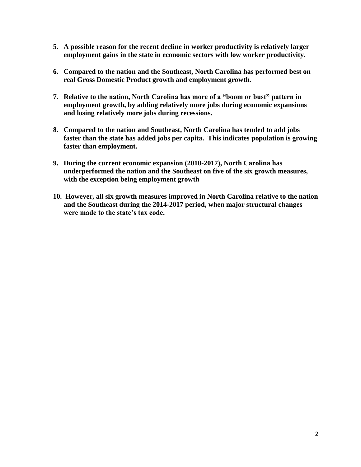- **5. A possible reason for the recent decline in worker productivity is relatively larger employment gains in the state in economic sectors with low worker productivity.**
- **6. Compared to the nation and the Southeast, North Carolina has performed best on real Gross Domestic Product growth and employment growth.**
- **7. Relative to the nation, North Carolina has more of a "boom or bust" pattern in employment growth, by adding relatively more jobs during economic expansions and losing relatively more jobs during recessions.**
- **8. Compared to the nation and Southeast, North Carolina has tended to add jobs faster than the state has added jobs per capita. This indicates population is growing faster than employment.**
- **9. During the current economic expansion (2010-2017), North Carolina has underperformed the nation and the Southeast on five of the six growth measures, with the exception being employment growth**
- **10. However, all six growth measures improved in North Carolina relative to the nation and the Southeast during the 2014-2017 period, when major structural changes were made to the state's tax code.**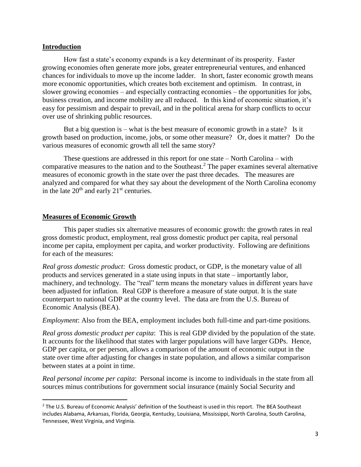### **Introduction**

How fast a state's economy expands is a key determinant of its prosperity. Faster growing economies often generate more jobs, greater entrepreneurial ventures, and enhanced chances for individuals to move up the income ladder. In short, faster economic growth means more economic opportunities, which creates both excitement and optimism. In contrast, in slower growing economies – and especially contracting economies – the opportunities for jobs, business creation, and income mobility are all reduced. In this kind of economic situation, it's easy for pessimism and despair to prevail, and in the political arena for sharp conflicts to occur over use of shrinking public resources.

But a big question is – what is the best measure of economic growth in a state? Is it growth based on production, income, jobs, or some other measure? Or, does it matter? Do the various measures of economic growth all tell the same story?

These questions are addressed in this report for one state – North Carolina – with comparative measures to the nation and to the Southeast.<sup>2</sup> The paper examines several alternative measures of economic growth in the state over the past three decades. The measures are analyzed and compared for what they say about the development of the North Carolina economy in the late 20<sup>th</sup> and early 21<sup>st</sup> centuries.

## **Measures of Economic Growth**

 $\overline{\phantom{a}}$ 

This paper studies six alternative measures of economic growth: the growth rates in real gross domestic product, employment, real gross domestic product per capita, real personal income per capita, employment per capita, and worker productivity. Following are definitions for each of the measures:

*Real gross domestic product*: Gross domestic product, or GDP, is the monetary value of all products and services generated in a state using inputs in that state – importantly labor, machinery, and technology. The "real" term means the monetary values in different years have been adjusted for inflation. Real GDP is therefore a measure of state output. It is the state counterpart to national GDP at the country level. The data are from the U.S. Bureau of Economic Analysis (BEA).

*Employment*: Also from the BEA, employment includes both full-time and part-time positions.

*Real gross domestic product per capita*: This is real GDP divided by the population of the state. It accounts for the likelihood that states with larger populations will have larger GDPs. Hence, GDP per capita, or per person, allows a comparison of the amount of economic output in the state over time after adjusting for changes in state population, and allows a similar comparison between states at a point in time.

*Real personal income per capita*: Personal income is income to individuals in the state from all sources minus contributions for government social insurance (mainly Social Security and

<sup>&</sup>lt;sup>2</sup> The U.S. Bureau of Economic Analysis' definition of the Southeast is used in this report. The BEA Southeast includes Alabama, Arkansas, Florida, Georgia, Kentucky, Louisiana, Mississippi, North Carolina, South Carolina, Tennessee, West Virginia, and Virginia.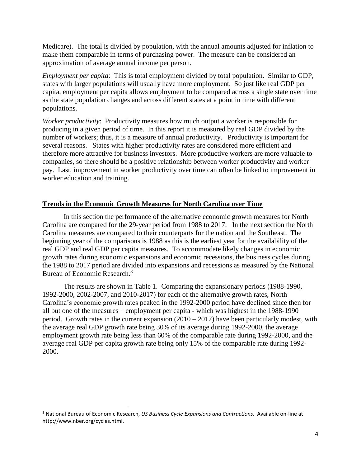Medicare). The total is divided by population, with the annual amounts adjusted for inflation to make them comparable in terms of purchasing power. The measure can be considered an approximation of average annual income per person.

*Employment per capita*: This is total employment divided by total population. Similar to GDP, states with larger populations will usually have more employment. So just like real GDP per capita, employment per capita allows employment to be compared across a single state over time as the state population changes and across different states at a point in time with different populations.

*Worker productivity*: Productivity measures how much output a worker is responsible for producing in a given period of time. In this report it is measured by real GDP divided by the number of workers; thus, it is a measure of annual productivity. Productivity is important for several reasons. States with higher productivity rates are considered more efficient and therefore more attractive for business investors. More productive workers are more valuable to companies, so there should be a positive relationship between worker productivity and worker pay. Last, improvement in worker productivity over time can often be linked to improvement in worker education and training.

## **Trends in the Economic Growth Measures for North Carolina over Time**

In this section the performance of the alternative economic growth measures for North Carolina are compared for the 29-year period from 1988 to 2017. In the next section the North Carolina measures are compared to their counterparts for the nation and the Southeast. The beginning year of the comparisons is 1988 as this is the earliest year for the availability of the real GDP and real GDP per capita measures. To accommodate likely changes in economic growth rates during economic expansions and economic recessions, the business cycles during the 1988 to 2017 period are divided into expansions and recessions as measured by the National Bureau of Economic Research.<sup>3</sup>

The results are shown in Table 1. Comparing the expansionary periods (1988-1990, 1992-2000, 2002-2007, and 2010-2017) for each of the alternative growth rates, North Carolina's economic growth rates peaked in the 1992-2000 period have declined since then for all but one of the measures – employment per capita - which was highest in the 1988-1990 period. Growth rates in the current expansion  $(2010 - 2017)$  have been particularly modest, with the average real GDP growth rate being 30% of its average during 1992-2000, the average employment growth rate being less than 60% of the comparable rate during 1992-2000, and the average real GDP per capita growth rate being only 15% of the comparable rate during 1992- 2000.

l

<sup>3</sup> National Bureau of Economic Research, *US Business Cycle Expansions and Contractions.* Available on-line at http://www.nber.org/cycles.html.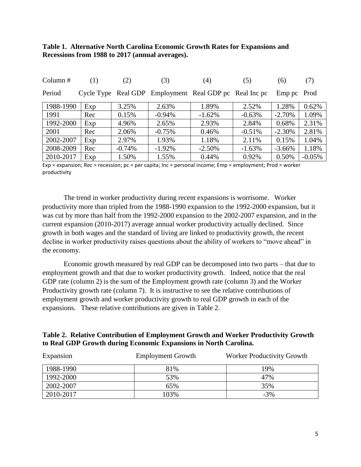## **Table 1. Alternative North Carolina Economic Growth Rates for Expansions and Recessions from 1988 to 2017 (annual averages).**

| Column $#$ | (1) | (2)      | (3)       | (4)                                                    | (5)      | (6)         | (7)      |
|------------|-----|----------|-----------|--------------------------------------------------------|----------|-------------|----------|
| Period     |     |          |           | Cycle Type Real GDP Employment Real GDP pc Real Inc pc |          | Emp pc Prod |          |
| 1988-1990  | Exp | 3.25%    | 2.63%     | 1.89%                                                  | 2.52%    | 1.28%       | 0.62%    |
| 1991       | Rec | 0.15%    | $-0.94\%$ | $-1.62%$                                               | $-0.63%$ | $-2.70%$    | 1.09%    |
| 1992-2000  | Exp | 4.96%    | 2.65%     | 2.93%                                                  | 2.84%    | 0.68%       | 2.31%    |
| 2001       | Rec | 2.06%    | $-0.75%$  | 0.46%                                                  | $-0.51%$ | $-2.30\%$   | 2.81%    |
| 2002-2007  | Exp | 2.97%    | 1.93%     | 1.18%                                                  | 2.11%    | 0.15%       | 1.04%    |
| 2008-2009  | Rec | $-0.74%$ | $-1.92%$  | $-2.50%$                                               | $-1.63%$ | $-3.66\%$   | 1.18%    |
| 2010-2017  | Exp | 1.50%    | 1.55%     | 0.44%                                                  | 0.92%    | 0.50%       | $-0.05%$ |

Exp = expansion; Rec = recession; pc = per capita; Inc = personal income; Emp = employment; Prod = worker productivity

The trend in worker productivity during recent expansions is worrisome. Worker productivity more than tripled from the 1988-1990 expansion to the 1992-2000 expansion, but it was cut by more than half from the 1992-2000 expansion to the 2002-2007 expansion, and in the current expansion (2010-2017) average annual worker productivity actually declined. Since growth in both wages and the standard of living are linked to productivity growth, the recent decline in worker productivity raises questions about the ability of workers to "move ahead" in the economy.

Economic growth measured by real GDP can be decomposed into two parts – that due to employment growth and that due to worker productivity growth. Indeed, notice that the real GDP rate (column 2) is the sum of the Employment growth rate (column 3) and the Worker Productivity growth rate (column 7). It is instructive to see the relative contributions of employment growth and worker productivity growth to real GDP growth in each of the expansions. These relative contributions are given in Table 2.

## **Table 2. Relative Contribution of Employment Growth and Worker Productivity Growth to Real GDP Growth during Economic Expansions in North Carolina.**

| Expansion | <b>Employment Growth</b> | <b>Worker Productivity Growth</b> |
|-----------|--------------------------|-----------------------------------|
| 1988-1990 | 81%                      | 19%                               |
| 1992-2000 | 53%                      | 47%                               |
| 2002-2007 | 65%                      | 35%                               |
| 2010-2017 | 103%                     | $-3%$                             |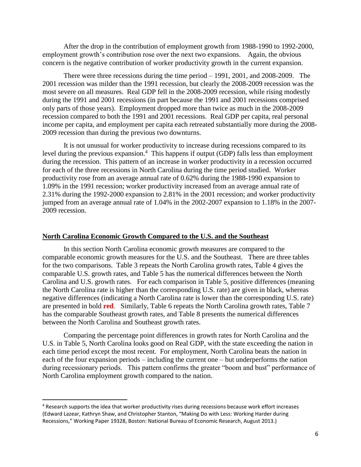After the drop in the contribution of employment growth from 1988-1990 to 1992-2000, employment growth's contribution rose over the next two expansions. Again, the obvious concern is the negative contribution of worker productivity growth in the current expansion.

There were three recessions during the time period – 1991, 2001, and 2008-2009. The 2001 recession was milder than the 1991 recession, but clearly the 2008-2009 recession was the most severe on all measures. Real GDP fell in the 2008-2009 recession, while rising modestly during the 1991 and 2001 recessions (in part because the 1991 and 2001 recessions comprised only parts of those years). Employment dropped more than twice as much in the 2008-2009 recession compared to both the 1991 and 2001 recessions. Real GDP per capita, real personal income per capita, and employment per capita each retreated substantially more during the 2008- 2009 recession than during the previous two downturns.

It is not unusual for worker productivity to increase during recessions compared to its level during the previous expansion.<sup>4</sup> This happens if output (GDP) falls less than employment during the recession. This pattern of an increase in worker productivity in a recession occurred for each of the three recessions in North Carolina during the time period studied. Worker productivity rose from an average annual rate of 0.62% during the 1988-1990 expansion to 1.09% in the 1991 recession; worker productivity increased from an average annual rate of 2.31% during the 1992-2000 expansion to 2.81% in the 2001 recession; and worker productivity jumped from an average annual rate of 1.04% in the 2002-2007 expansion to 1.18% in the 2007- 2009 recession.

#### **North Carolina Economic Growth Compared to the U.S. and the Southeast**

In this section North Carolina economic growth measures are compared to the comparable economic growth measures for the U.S. and the Southeast. There are three tables for the two comparisons. Table 3 repeats the North Carolina growth rates, Table 4 gives the comparable U.S. growth rates, and Table 5 has the numerical differences between the North Carolina and U.S. growth rates. For each comparison in Table 5, positive differences (meaning the North Carolina rate is higher than the corresponding U.S. rate) are given in black, whereas negative differences (indicating a North Carolina rate is lower than the corresponding U.S. rate) are presented in bold **red**. Similarly, Table 6 repeats the North Carolina growth rates, Table 7 has the comparable Southeast growth rates, and Table 8 presents the numerical differences between the North Carolina and Southeast growth rates.

Comparing the percentage point differences in growth rates for North Carolina and the U.S. in Table 5, North Carolina looks good on Real GDP, with the state exceeding the nation in each time period except the most recent. For employment, North Carolina beats the nation in each of the four expansion periods – including the current one – but underperforms the nation during recessionary periods. This pattern confirms the greater "boom and bust" performance of North Carolina employment growth compared to the nation.

 $\overline{\phantom{a}}$ 

<sup>4</sup> Research supports the idea that worker productivity rises during recessions because work effort increases (Edward Lazear, Kathryn Shaw, and Christopher Stanton, "Making Do with Less: Working Harder during Recessions," Working Paper 19328, Boston: National Bureau of Economic Research, August 2013.)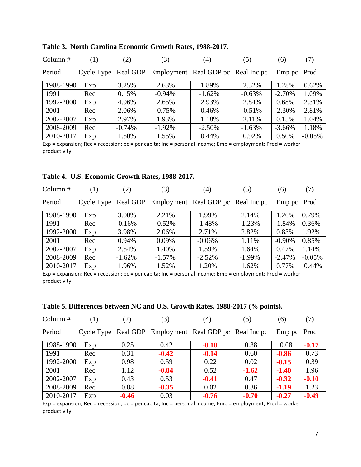| Column $#$ | (1) | (2)      | (3)      | (4)                                                    | (5)      | (6)         | (7)       |
|------------|-----|----------|----------|--------------------------------------------------------|----------|-------------|-----------|
| Period     |     |          |          | Cycle Type Real GDP Employment Real GDP pc Real Inc pc |          | Emp pc Prod |           |
| 1988-1990  | Exp | 3.25%    | 2.63%    | 1.89%                                                  | 2.52%    | 1.28%       | 0.62%     |
| 1991       | Rec | 0.15%    | $-0.94%$ | $-1.62%$                                               | $-0.63%$ | $-2.70%$    | 1.09%     |
| 1992-2000  | Exp | 4.96%    | 2.65%    | 2.93%                                                  | 2.84%    | 0.68%       | 2.31%     |
| 2001       | Rec | 2.06%    | $-0.75%$ | 0.46%                                                  | $-0.51%$ | $-2.30%$    | 2.81%     |
| 2002-2007  | Exp | 2.97%    | 1.93%    | 1.18%                                                  | 2.11%    | 0.15%       | 1.04%     |
| 2008-2009  | Rec | $-0.74%$ | $-1.92%$ | $-2.50%$                                               | $-1.63%$ | $-3.66%$    | 1.18%     |
| 2010-2017  | Exp | 1.50%    | 1.55%    | 0.44%                                                  | 0.92%    | 0.50%       | $-0.05\%$ |

#### **Table 3. North Carolina Economic Growth Rates, 1988-2017.**

Exp = expansion; Rec = recession; pc = per capita; Inc = personal income; Emp = employment; Prod = worker productivity

### **Table 4. U.S. Economic Growth Rates, 1988-2017.**

| Column $#$ | (1) | (2)                 | (3)       | (4)                                | (5)      | (6)         | (7)      |
|------------|-----|---------------------|-----------|------------------------------------|----------|-------------|----------|
| Period     |     | Cycle Type Real GDP |           | Employment Real GDP pc Real Inc pc |          | Emp pc Prod |          |
| 1988-1990  | Exp | 3.00%               | 2.21%     | 1.99%                              | 2.14%    | 1.20%       | 0.79%    |
| 1991       | Rec | $-0.16%$            | $-0.52%$  | $-1.48%$                           | $-1.23%$ | $-1.84%$    | 0.36%    |
| 1992-2000  | Exp | 3.98%               | 2.06%     | 2.71%                              | 2.82%    | 0.83%       | 1.92%    |
| 2001       | Rec | 0.94%               | 0.09%     | $-0.06%$                           | 1.11%    | $-0.90\%$   | 0.85%    |
| 2002-2007  | Exp | 2.54%               | 1.40%     | 1.59%                              | 1.64%    | 0.47%       | 1.14%    |
| 2008-2009  | Rec | $-1.62%$            | $-1.57\%$ | $-2.52%$                           | $-1.99%$ | $-2.47%$    | $-0.05%$ |
| 2010-2017  | Exp | 1.96%               | 1.52%     | 1.20%                              | 1.62%    | 0.77%       | 0.44%    |

Exp = expansion; Rec = recession; pc = per capita; Inc = personal income; Emp = employment; Prod = worker productivity

# **Table 5. Differences between NC and U.S. Growth Rates, 1988-2017 (% points).**

| 2010-2017  | Exp | $-0.46$ | 0.03    | $-0.76$                                                | $-0.70$ | $-0.27$     | $-0.49$ |
|------------|-----|---------|---------|--------------------------------------------------------|---------|-------------|---------|
| 2008-2009  | Rec | 0.88    | $-0.35$ | 0.02                                                   | 0.36    | $-1.19$     | 1.23    |
| 2002-2007  | Exp | 0.43    | 0.53    | $-0.41$                                                | 0.47    | $-0.32$     | $-0.10$ |
| 2001       | Rec | 1.12    | $-0.84$ | 0.52                                                   | $-1.62$ | $-1.40$     | 1.96    |
| 1992-2000  | Exp | 0.98    | 0.59    | 0.22                                                   | 0.02    | $-0.15$     | 0.39    |
| 1991       | Rec | 0.31    | $-0.42$ | $-0.14$                                                | 0.60    | $-0.86$     | 0.73    |
| 1988-1990  | Exp | 0.25    | 0.42    | $-0.10$                                                | 0.38    | 0.08        | $-0.17$ |
| Period     |     |         |         | Cycle Type Real GDP Employment Real GDP pc Real Inc pc |         | Emp pc Prod |         |
| Column $#$ | (1) | (2)     | (3)     | (4)                                                    | (5)     | (6)         | (7)     |

Exp = expansion; Rec = recession; pc = per capita; Inc = personal income; Emp = employment; Prod = worker productivity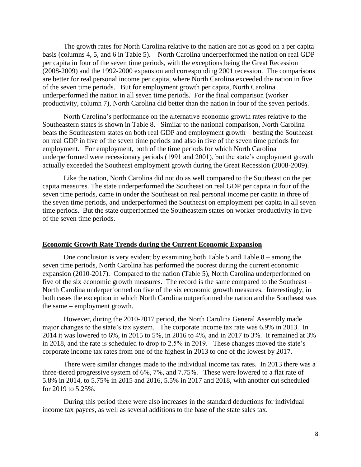The growth rates for North Carolina relative to the nation are not as good on a per capita basis (columns 4, 5, and 6 in Table 5). North Carolina underperformed the nation on real GDP per capita in four of the seven time periods, with the exceptions being the Great Recession (2008-2009) and the 1992-2000 expansion and corresponding 2001 recession. The comparisons are better for real personal income per capita, where North Carolina exceeded the nation in five of the seven time periods. But for employment growth per capita, North Carolina underperformed the nation in all seven time periods. For the final comparison (worker productivity, column 7), North Carolina did better than the nation in four of the seven periods.

North Carolina's performance on the alternative economic growth rates relative to the Southeastern states is shown in Table 8. Similar to the national comparison, North Carolina beats the Southeastern states on both real GDP and employment growth – besting the Southeast on real GDP in five of the seven time periods and also in five of the seven time periods for employment. For employment, both of the time periods for which North Carolina underperformed were recessionary periods (1991 and 2001), but the state's employment growth actually exceeded the Southeast employment growth during the Great Recession (2008-2009).

Like the nation, North Carolina did not do as well compared to the Southeast on the per capita measures. The state underperformed the Southeast on real GDP per capita in four of the seven time periods, came in under the Southeast on real personal income per capita in three of the seven time periods, and underperformed the Southeast on employment per capita in all seven time periods. But the state outperformed the Southeastern states on worker productivity in five of the seven time periods.

#### **Economic Growth Rate Trends during the Current Economic Expansion**

One conclusion is very evident by examining both Table 5 and Table 8 – among the seven time periods, North Carolina has performed the poorest during the current economic expansion (2010-2017). Compared to the nation (Table 5), North Carolina underperformed on five of the six economic growth measures. The record is the same compared to the Southeast – North Carolina underperformed on five of the six economic growth measures. Interestingly, in both cases the exception in which North Carolina outperformed the nation and the Southeast was the same – employment growth.

However, during the 2010-2017 period, the North Carolina General Assembly made major changes to the state's tax system. The corporate income tax rate was 6.9% in 2013. In 2014 it was lowered to 6%, in 2015 to 5%, in 2016 to 4%, and in 2017 to 3%. It remained at 3% in 2018, and the rate is scheduled to drop to 2.5% in 2019. These changes moved the state's corporate income tax rates from one of the highest in 2013 to one of the lowest by 2017.

There were similar changes made to the individual income tax rates. In 2013 there was a three-tiered progressive system of 6%, 7%, and 7.75%. These were lowered to a flat rate of 5.8% in 2014, to 5.75% in 2015 and 2016, 5.5% in 2017 and 2018, with another cut scheduled for 2019 to 5.25%.

During this period there were also increases in the standard deductions for individual income tax payees, as well as several additions to the base of the state sales tax.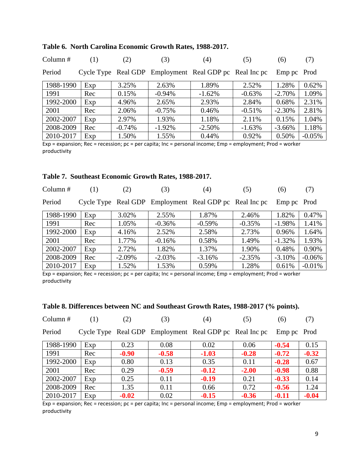| Column $#$ | (1) | (2)      | (3)      | (4)                                                    | (5)      | (6)         | (7)       |
|------------|-----|----------|----------|--------------------------------------------------------|----------|-------------|-----------|
| Period     |     |          |          | Cycle Type Real GDP Employment Real GDP pc Real Inc pc |          | Emp pc Prod |           |
| 1988-1990  | Exp | 3.25%    | 2.63%    | 1.89%                                                  | 2.52%    | 1.28%       | 0.62%     |
| 1991       | Rec | 0.15%    | $-0.94%$ | $-1.62%$                                               | $-0.63%$ | $-2.70%$    | 1.09%     |
| 1992-2000  | Exp | 4.96%    | 2.65%    | 2.93%                                                  | 2.84%    | 0.68%       | 2.31%     |
| 2001       | Rec | 2.06%    | $-0.75%$ | 0.46%                                                  | $-0.51%$ | $-2.30%$    | 2.81%     |
| 2002-2007  | Exp | 2.97%    | 1.93%    | 1.18%                                                  | 2.11%    | 0.15%       | 1.04%     |
| 2008-2009  | Rec | $-0.74%$ | $-1.92%$ | $-2.50%$                                               | $-1.63%$ | $-3.66%$    | 1.18%     |
| 2010-2017  | Exp | 1.50%    | 1.55%    | 0.44%                                                  | 0.92%    | 0.50%       | $-0.05\%$ |

### **Table 6. North Carolina Economic Growth Rates, 1988-2017.**

Exp = expansion; Rec = recession; pc = per capita; Inc = personal income; Emp = employment; Prod = worker productivity

### **Table 7. Southeast Economic Growth Rates, 1988-2017.**

| Column $#$ | (1) | (2)      | (3)      | (4)                                                    | (5)      | (6)         | (7)      |
|------------|-----|----------|----------|--------------------------------------------------------|----------|-------------|----------|
| Period     |     |          |          | Cycle Type Real GDP Employment Real GDP pc Real Inc pc |          | Emp pc Prod |          |
| 1988-1990  | Exp | 3.02%    | 2.55%    | 1.87%                                                  | 2.46%    | 1.82%       | 0.47%    |
| 1991       | Rec | 1.05%    | $-0.36%$ | $-0.59%$                                               | $-0.35%$ | $-1.98%$    | 1.41%    |
| 1992-2000  | Exp | 4.16%    | 2.52%    | 2.58%                                                  | 2.73%    | 0.96%       | 1.64%    |
| 2001       | Rec | 1.77%    | $-0.16%$ | 0.58%                                                  | 1.49%    | $-1.32%$    | 1.93%    |
| 2002-2007  | Exp | 2.72%    | 1.82%    | 1.37%                                                  | 1.90%    | 0.48%       | 0.90%    |
| 2008-2009  | Rec | $-2.09%$ | $-2.03%$ | $-3.16%$                                               | $-2.35%$ | $-3.10%$    | $-0.06%$ |
| 2010-2017  | Exp | 1.52%    | 1.53%    | 0.59%                                                  | 1.28%    | 0.61%       | $-0.01%$ |

Exp = expansion; Rec = recession; pc = per capita; Inc = personal income; Emp = employment; Prod = worker productivity

# **Table 8. Differences between NC and Southeast Growth Rates, 1988-2017 (% points).**

| Column#   | (1) | (2)     | (3)     | (4)                                                    | (5)     | (6)         | (7)     |
|-----------|-----|---------|---------|--------------------------------------------------------|---------|-------------|---------|
| Period    |     |         |         | Cycle Type Real GDP Employment Real GDP pc Real Inc pc |         | Emp pc Prod |         |
| 1988-1990 | Exp | 0.23    | 0.08    | 0.02                                                   | 0.06    | $-0.54$     | 0.15    |
| 1991      | Rec | $-0.90$ | $-0.58$ | $-1.03$                                                | $-0.28$ | $-0.72$     | $-0.32$ |
| 1992-2000 | Exp | 0.80    | 0.13    | 0.35                                                   | 0.11    | $-0.28$     | 0.67    |
| 2001      | Rec | 0.29    | $-0.59$ | $-0.12$                                                | $-2.00$ | $-0.98$     | 0.88    |
| 2002-2007 | Exp | 0.25    | 0.11    | $-0.19$                                                | 0.21    | $-0.33$     | 0.14    |
| 2008-2009 | Rec | 1.35    | 0.11    | 0.66                                                   | 0.72    | $-0.56$     | 1.24    |
| 2010-2017 | Exp | $-0.02$ | 0.02    | $-0.15$                                                | $-0.36$ | $-0.11$     | $-0.04$ |

Exp = expansion; Rec = recession; pc = per capita; Inc = personal income; Emp = employment; Prod = worker productivity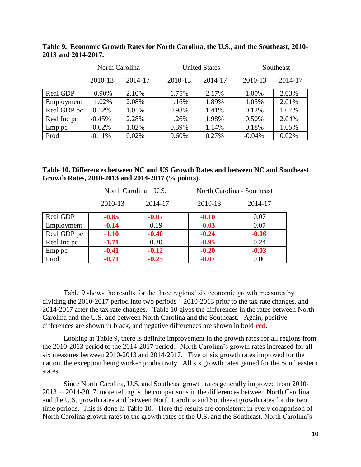| Table 9. Economic Growth Rates for North Carolina, the U.S., and the Southeast, 2010- |  |
|---------------------------------------------------------------------------------------|--|
| 2013 and 2014-2017.                                                                   |  |

|             | North Carolina |         |  | <b>United States</b> |         |  | Southeast |         |  |
|-------------|----------------|---------|--|----------------------|---------|--|-----------|---------|--|
|             | 2010-13        | 2014-17 |  | 2010-13              | 2014-17 |  | 2010-13   | 2014-17 |  |
| Real GDP    | 0.90%          | 2.10%   |  | 1.75%                | 2.17%   |  | 1.00%     | 2.03%   |  |
| Employment  | 1.02%          | 2.08%   |  | 1.16%                | 1.89%   |  | 1.05%     | 2.01%   |  |
| Real GDP pc | $-0.12%$       | 1.01%   |  | 0.98%                | 1.41%   |  | 0.12%     | 1.07%   |  |
| Real Inc pc | $-0.45%$       | 2.28%   |  | 1.26%                | 1.98%   |  | 0.50%     | 2.04%   |  |
| Emp pc      | $-0.02%$       | 1.02%   |  | 0.39%                | 1.14%   |  | 0.18%     | 1.05%   |  |
| Prod        | $-0.11%$       | 0.02%   |  | 0.60%                | 0.27%   |  | $-0.04%$  | 0.02%   |  |

| Table 10. Differences between NC and US Growth Rates and between NC and Southeast |  |
|-----------------------------------------------------------------------------------|--|
| Growth Rates, 2010-2013 and 2014-2017 (% points).                                 |  |

|             |         | North Carolina – U.S. | North Carolina - Southeast |         |
|-------------|---------|-----------------------|----------------------------|---------|
|             | 2010-13 | 2014-17               | 2010-13                    | 2014-17 |
| Real GDP    | $-0.85$ | $-0.07$               | $-0.10$                    | 0.07    |
| Employment  | $-0.14$ | 0.19                  | $-0.03$                    | 0.07    |
| Real GDP pc | $-1.10$ | $-0.40$               | $-0.24$                    | $-0.06$ |
| Real Inc pc | $-1.71$ | 0.30                  | $-0.95$                    | 0.24    |
| Emp pc      | $-0.41$ | $-0.12$               | $-0.20$                    | $-0.03$ |
| Prod        | $-0.71$ | $-0.25$               | $-0.07$                    | 0.00    |

Table 9 shows the results for the three regions' six economic growth measures by dividing the 2010-2017 period into two periods – 2010-2013 prior to the tax rate changes, and 2014-2017 after the tax rate changes. Table 10 gives the differences in the rates between North Carolina and the U.S. and between North Carolina and the Southeast. Again, positive differences are shown in black, and negative differences are shown in bold **red**.

Looking at Table 9, there is definite improvement in the growth rates for all regions from the 2010-2013 period to the 2014-2017 period. North Carolina's growth rates increased for all six measures between 2010-2013 and 2014-2017. Five of six growth rates improved for the nation, the exception being worker productivity. All six growth rates gained for the Southeastern states.

Since North Carolina, U.S, and Southeast growth rates generally improved from 2010- 2013 to 2014-2017, more telling is the comparisons in the differences between North Carolina and the U.S. growth rates and between North Carolina and Southeast growth rates for the two time periods. This is done in Table 10. Here the results are consistent: in every comparison of North Carolina growth rates to the growth rates of the U.S. and the Southeast, North Carolina's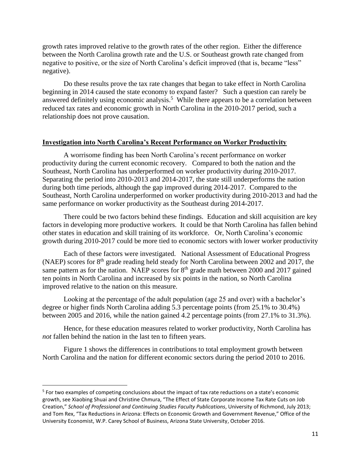growth rates improved relative to the growth rates of the other region. Either the difference between the North Carolina growth rate and the U.S. or Southeast growth rate changed from negative to positive, or the size of North Carolina's deficit improved (that is, became "less" negative).

Do these results prove the tax rate changes that began to take effect in North Carolina beginning in 2014 caused the state economy to expand faster? Such a question can rarely be answered definitely using economic analysis.<sup>5</sup> While there appears to be a correlation between reduced tax rates and economic growth in North Carolina in the 2010-2017 period, such a relationship does not prove causation.

#### **Investigation into North Carolina's Recent Performance on Worker Productivity**

A worrisome finding has been North Carolina's recent performance on worker productivity during the current economic recovery. Compared to both the nation and the Southeast, North Carolina has underperformed on worker productivity during 2010-2017. Separating the period into 2010-2013 and 2014-2017, the state still underperforms the nation during both time periods, although the gap improved during 2014-2017. Compared to the Southeast, North Carolina underperformed on worker productivity during 2010-2013 and had the same performance on worker productivity as the Southeast during 2014-2017.

There could be two factors behind these findings. Education and skill acquisition are key factors in developing more productive workers. It could be that North Carolina has fallen behind other states in education and skill training of its workforce. Or, North Carolina's economic growth during 2010-2017 could be more tied to economic sectors with lower worker productivity

Each of these factors were investigated. National Assessment of Educational Progress (NAEP) scores for 8<sup>th</sup> grade reading held steady for North Carolina between 2002 and 2017, the same pattern as for the nation. NAEP scores for  $8<sup>th</sup>$  grade math between 2000 and 2017 gained ten points in North Carolina and increased by six points in the nation, so North Carolina improved relative to the nation on this measure.

Looking at the percentage of the adult population (age 25 and over) with a bachelor's degree or higher finds North Carolina adding 5.3 percentage points (from 25.1% to 30.4%) between 2005 and 2016, while the nation gained 4.2 percentage points (from 27.1% to 31.3%).

Hence, for these education measures related to worker productivity, North Carolina has *not* fallen behind the nation in the last ten to fifteen years.

Figure 1 shows the differences in contributions to total employment growth between North Carolina and the nation for different economic sectors during the period 2010 to 2016.

 $\overline{\phantom{a}}$ 

<sup>&</sup>lt;sup>5</sup> For two examples of competing conclusions about the impact of tax rate reductions on a state's economic growth, see Xiaobing Shuai and Christine Chmura, "The Effect of State Corporate Income Tax Rate Cuts on Job Creation," *School of Professional and Continuing Studies Faculty Publications*, University of Richmond, July 2013; and Tom Rex, "Tax Reductions in Arizona: Effects on Economic Growth and Government Revenue," Office of the University Economist, W.P. Carey School of Business, Arizona State University, October 2016.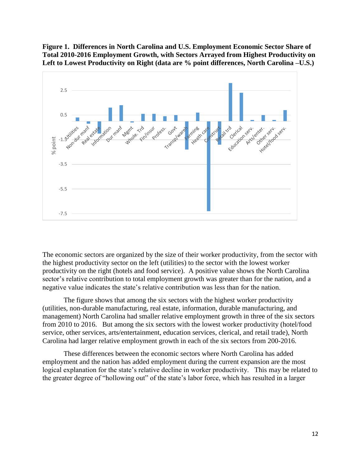**Figure 1. Differences in North Carolina and U.S. Employment Economic Sector Share of Total 2010-2016 Employment Growth, with Sectors Arrayed from Highest Productivity on Left to Lowest Productivity on Right (data are % point differences, North Carolina –U.S.)**



The economic sectors are organized by the size of their worker productivity, from the sector with the highest productivity sector on the left (utilities) to the sector with the lowest worker productivity on the right (hotels and food service). A positive value shows the North Carolina sector's relative contribution to total employment growth was greater than for the nation, and a negative value indicates the state's relative contribution was less than for the nation.

The figure shows that among the six sectors with the highest worker productivity (utilities, non-durable manufacturing, real estate, information, durable manufacturing, and management) North Carolina had smaller relative employment growth in three of the six sectors from 2010 to 2016. But among the six sectors with the lowest worker productivity (hotel/food service, other services, arts/entertainment, education services, clerical, and retail trade), North Carolina had larger relative employment growth in each of the six sectors from 200-2016.

These differences between the economic sectors where North Carolina has added employment and the nation has added employment during the current expansion are the most logical explanation for the state's relative decline in worker productivity. This may be related to the greater degree of "hollowing out" of the state's labor force, which has resulted in a larger